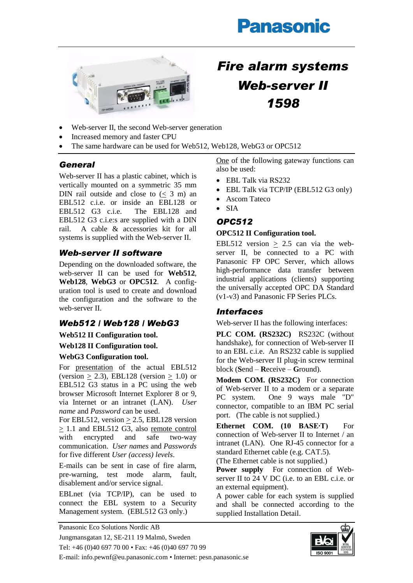# **Panasonic**



# *Fire alarm systems Web-server II 1598*

- Web-server II, the second Web-server generation
- Increased memory and faster CPU
- The same hardware can be used for Web512, Web128, WebG3 or OPC512

# *General*

Web-server II has a plastic cabinet, which is vertically mounted on a symmetric 35 mm DIN rail outside and close to  $(< 3$  m) an EBL512 c.i.e. or inside an EBL128 or EBL512 G3 c.i.e. The EBL128 and EBL512 G3 c.i.e:s are supplied with a DIN rail. A cable & accessories kit for all systems is supplied with the Web-server II.

# *Web-server II software*

Depending on the downloaded software, the web-server II can be used for **Web512**, **Web128**, **WebG3** or **OPC512**. A configuration tool is used to create and download the configuration and the software to the web-server II.

# *Web512 / Web128 / WebG3*

## **Web512 II Configuration tool.**

#### **Web128 II Configuration tool.**

#### **WebG3 Configuration tool.**

For presentation of the actual EBL512 (version  $> 2.3$ ), EBL128 (version  $> 1.0$ ) or EBL512 G3 status in a PC using the web browser Microsoft Internet Explorer 8 or 9, via Internet or an intranet (LAN). *User name* and *Password* can be used.

For EBL512, version  $\geq$  2.5, EBL128 version > 1.1 and EBL512 G3, also remote control with encrypted and safe two-way communication. *User names* and *Passwords* for five different *User (access) levels*.

E-mails can be sent in case of fire alarm, pre-warning, test mode alarm, fault, disablement and/or service signal.

EBLnet (via TCP/IP), can be used to connect the EBL system to a Security Management system. (EBL512 G3 only.)

One of the following gateway functions can also be used:

- EBL Talk via RS232
- EBL Talk via TCP/IP (EBL512 G3 only)
- Ascom Tateco
- $\bullet$  SIA

# *OPC512*

## **OPC512 II Configuration tool.**

EBL512 version  $\geq$  2.5 can via the webserver II, be connected to a PC with Panasonic FP OPC Server, which allows high-performance data transfer between industrial applications (clients) supporting the universally accepted OPC DA Standard (v1-v3) and Panasonic FP Series PLCs.

# *Interfaces*

Web-server II has the following interfaces:

**PLC COM. (RS232C)** RS232C (without handshake), for connection of Web-server II to an EBL c.i.e. An RS232 cable is supplied for the Web-server II plug-in screw terminal block (**S**end – **R**eceive – **G**round).

**Modem COM. (RS232C)** For connection of Web-server II to a modem or a separate PC system. One 9 ways male "D" connector, compatible to an IBM PC serial port. (The cable is not supplied.)

**Ethernet COM. (10 BASE∙T)** For connection of Web-server II to Internet / an intranet (LAN). One RJ-45 connector for a standard Ethernet cable (e.g. CAT.5).

(The Ethernet cable is not supplied.)

**Power supply** For connection of Webserver II to 24 V DC (i.e. to an EBL c.i.e. or an external equipment).

A power cable for each system is supplied and shall be connected according to the supplied Installation Detail.

Panasonic Eco Solutions Nordic AB Jungmansgatan 12, SE-211 19 Malmö, Sweden Tel: +46 (0)40 697 70 00 • Fax: +46 (0)40 697 70 99 E-mail: info.pewnf@eu.panasonic.com • Internet: pesn.panasonic.se